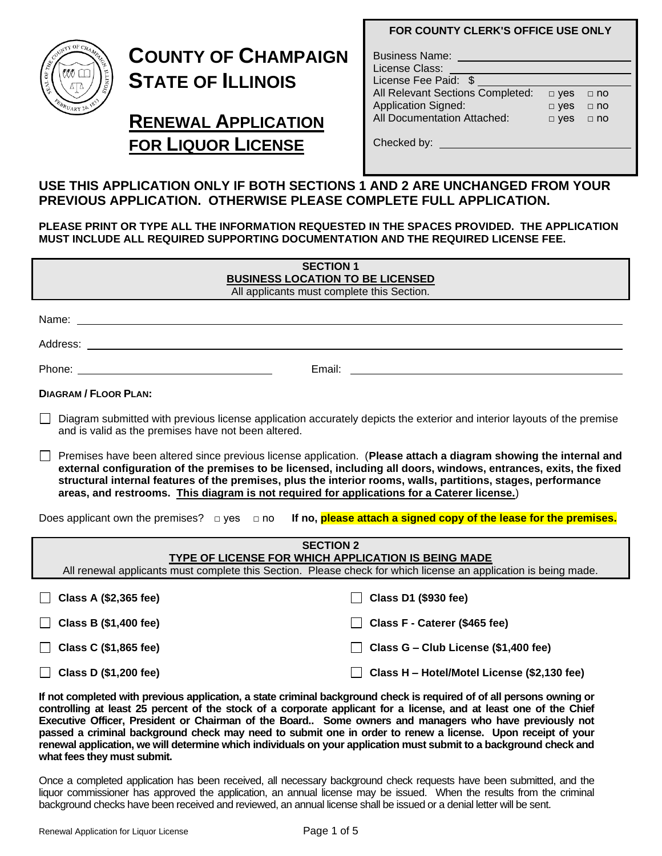

# **COUNTY OF CHAMPAIGN STATE OF ILLINOIS**

## **RENEWAL APPLICATION FOR LIQUOR LICENSE**

|  |  |  |  |  | <b>FOR COUNTY CLERK'S OFFICE USE ONLY</b> |
|--|--|--|--|--|-------------------------------------------|
|--|--|--|--|--|-------------------------------------------|

| <b>Business Name:</b><br>License Class:<br>License Fee Paid: \$ |            |             |  |
|-----------------------------------------------------------------|------------|-------------|--|
| All Relevant Sections Completed:                                | $\Box$ yes | $\Box$ no   |  |
| <b>Application Signed:</b>                                      | $\Box$ yes | $\Box$ no   |  |
| All Documentation Attached:                                     | $\Box$ yes | $\sqcap$ no |  |

Checked by:

## **USE THIS APPLICATION ONLY IF BOTH SECTIONS 1 AND 2 ARE UNCHANGED FROM YOUR PREVIOUS APPLICATION. OTHERWISE PLEASE COMPLETE FULL APPLICATION.**

**PLEASE PRINT OR TYPE ALL THE INFORMATION REQUESTED IN THE SPACES PROVIDED. THE APPLICATION MUST INCLUDE ALL REQUIRED SUPPORTING DOCUMENTATION AND THE REQUIRED LICENSE FEE.** 

| <b>SECTION 1</b><br><b>BUSINESS LOCATION TO BE LICENSED</b><br>All applicants must complete this Section.                                                                                                                                                                                                                                                                                                                                                   |
|-------------------------------------------------------------------------------------------------------------------------------------------------------------------------------------------------------------------------------------------------------------------------------------------------------------------------------------------------------------------------------------------------------------------------------------------------------------|
|                                                                                                                                                                                                                                                                                                                                                                                                                                                             |
|                                                                                                                                                                                                                                                                                                                                                                                                                                                             |
|                                                                                                                                                                                                                                                                                                                                                                                                                                                             |
| <b>DIAGRAM / FLOOR PLAN:</b>                                                                                                                                                                                                                                                                                                                                                                                                                                |
| $\Box$<br>Diagram submitted with previous license application accurately depicts the exterior and interior layouts of the premise<br>and is valid as the premises have not been altered.                                                                                                                                                                                                                                                                    |
| $\Box$ Premises have been altered since previous license application. (Please attach a diagram showing the internal and<br>external configuration of the premises to be licensed, including all doors, windows, entrances, exits, the fixed<br>structural internal features of the premises, plus the interior rooms, walls, partitions, stages, performance<br>areas, and restrooms. This diagram is not required for applications for a Caterer license.) |
| Does applicant own the premises? □ yes □ no <b>If no, <mark>please attach a signed copy of the lease for the premises.</mark></b>                                                                                                                                                                                                                                                                                                                           |
| <b>SECTION 2</b><br>TYPE OF LICENSE FOR WHICH APPLICATION IS BEING MADE                                                                                                                                                                                                                                                                                                                                                                                     |
| All renewal applicants must complete this Section. Please check for which license an application is being made.                                                                                                                                                                                                                                                                                                                                             |
|                                                                                                                                                                                                                                                                                                                                                                                                                                                             |

| $\Box$ Class A (\$2,365 fee) | $\Box$ Class D1 (\$930 fee)                   |
|------------------------------|-----------------------------------------------|
| $\Box$ Class B (\$1,400 fee) | □ Class F - Caterer (\$465 fee)               |
| Class C $(\$1,865$ fee)      | Class $G - Club$ License (\$1,400 fee)        |
| $\Box$ Class D (\$1,200 fee) | □ Class H - Hotel/Motel License (\$2,130 fee) |

**If not completed with previous application, a state criminal background check is required of of all persons owning or controlling at least 25 percent of the stock of a corporate applicant for a license, and at least one of the Chief Executive Officer, President or Chairman of the Board.. Some owners and managers who have previously not passed a criminal background check may need to submit one in order to renew a license. Upon receipt of your renewal application, we will determine which individuals on your application must submit to a background check and what fees they must submit.** 

Once a completed application has been received, all necessary background check requests have been submitted, and the liquor commissioner has approved the application, an annual license may be issued. When the results from the criminal background checks have been received and reviewed, an annual license shall be issued or a denial letter will be sent.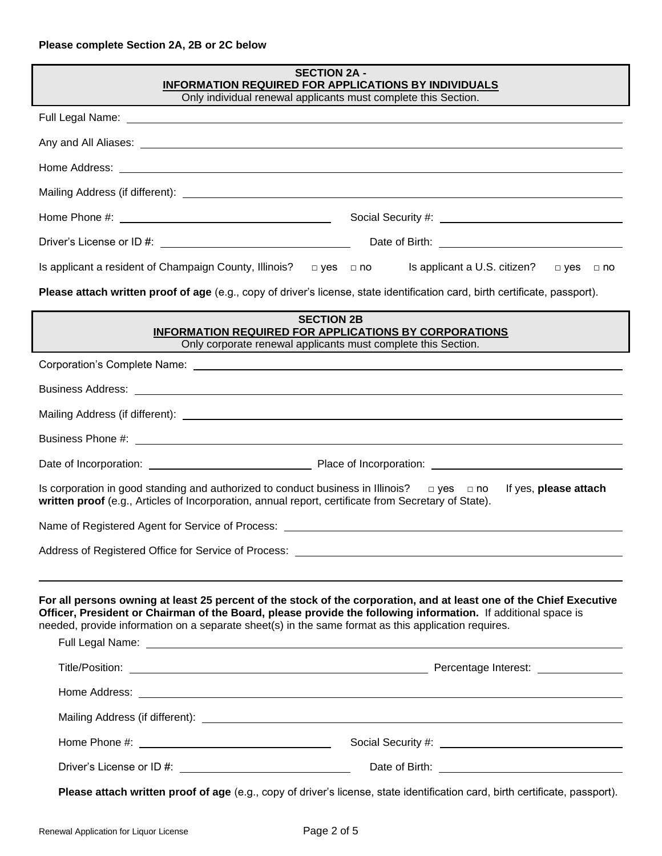| <b>SECTION 2A -</b><br>INFORMATION REQUIRED FOR APPLICATIONS BY INDIVIDUALS<br>Only individual renewal applicants must complete this Section.                                                                                                                                                                                                                                                                                                                           |                       |  |  |
|-------------------------------------------------------------------------------------------------------------------------------------------------------------------------------------------------------------------------------------------------------------------------------------------------------------------------------------------------------------------------------------------------------------------------------------------------------------------------|-----------------------|--|--|
| Full Legal Name: Name: Name and Separate and Separate and Separate and Separate and Separate and Separate and                                                                                                                                                                                                                                                                                                                                                           |                       |  |  |
|                                                                                                                                                                                                                                                                                                                                                                                                                                                                         |                       |  |  |
| Home Address: <u>The Communication</u> Contract of the Communication Communication Communication Communication Communication                                                                                                                                                                                                                                                                                                                                            |                       |  |  |
|                                                                                                                                                                                                                                                                                                                                                                                                                                                                         |                       |  |  |
|                                                                                                                                                                                                                                                                                                                                                                                                                                                                         |                       |  |  |
|                                                                                                                                                                                                                                                                                                                                                                                                                                                                         |                       |  |  |
| Is applicant a resident of Champaign County, Illinois? $\Box$ yes $\Box$ no Is applicant a U.S. citizen?                                                                                                                                                                                                                                                                                                                                                                | □ yes □ no            |  |  |
| Please attach written proof of age (e.g., copy of driver's license, state identification card, birth certificate, passport).                                                                                                                                                                                                                                                                                                                                            |                       |  |  |
| <b>SECTION 2B</b><br><b>INFORMATION REQUIRED FOR APPLICATIONS BY CORPORATIONS</b><br>Only corporate renewal applicants must complete this Section.                                                                                                                                                                                                                                                                                                                      |                       |  |  |
|                                                                                                                                                                                                                                                                                                                                                                                                                                                                         |                       |  |  |
| Business Address: <u>example and the contract of the contract of the contract of the contract of the contract of the contract of the contract of the contract of the contract of the contract of the contract of the contract of</u>                                                                                                                                                                                                                                    |                       |  |  |
|                                                                                                                                                                                                                                                                                                                                                                                                                                                                         |                       |  |  |
|                                                                                                                                                                                                                                                                                                                                                                                                                                                                         |                       |  |  |
|                                                                                                                                                                                                                                                                                                                                                                                                                                                                         |                       |  |  |
| Is corporation in good standing and authorized to conduct business in Illinois? $\Box$ yes $\Box$ no<br>written proof (e.g., Articles of Incorporation, annual report, certificate from Secretary of State).                                                                                                                                                                                                                                                            | If yes, please attach |  |  |
| Name of Registered Agent for Service of Process: Name of Service of Agents and Service of Agents and Service o                                                                                                                                                                                                                                                                                                                                                          |                       |  |  |
| Address of Registered Office for Service of Process: Law and Content of Content of Registered Office for Service of Process: Law and Content of Content of Content of Content of Content of Content of Content of Content of C                                                                                                                                                                                                                                          |                       |  |  |
| For all persons owning at least 25 percent of the stock of the corporation, and at least one of the Chief Executive<br>Officer, President or Chairman of the Board, please provide the following information. If additional space is<br>needed, provide information on a separate sheet(s) in the same format as this application requires.<br>Full Legal Name: <u>Andrea Communications of the Communication</u> Communication and Communications of the Communication |                       |  |  |
|                                                                                                                                                                                                                                                                                                                                                                                                                                                                         |                       |  |  |
| Home Address: <u>The Community of the Community of the Community of the Community of the Community of the Community of the Community of the Community of the Community of the Community of the Community of the Community of the</u>                                                                                                                                                                                                                                    |                       |  |  |
|                                                                                                                                                                                                                                                                                                                                                                                                                                                                         |                       |  |  |
|                                                                                                                                                                                                                                                                                                                                                                                                                                                                         |                       |  |  |
| Driver's License or ID #: \\espited:\\espited:\\espited:\\espited:\\espited:\\espited:\\espited:\\espited:\\espited:\\espited:\\espited:\\espited:\\espited:\\espited:\\espited:\\espited:\\espited:\\espited:\\espited:\\espi                                                                                                                                                                                                                                          |                       |  |  |
| Please attach written proof of age (e.g., copy of driver's license, state identification card, birth certificate, passport).                                                                                                                                                                                                                                                                                                                                            |                       |  |  |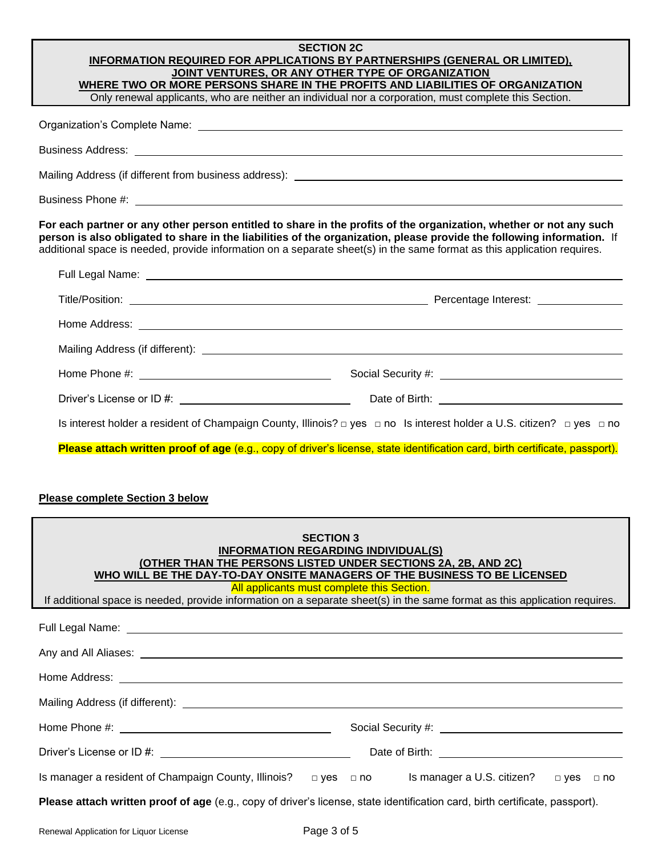#### **SECTION 2C INFORMATION REQUIRED FOR APPLICATIONS BY PARTNERSHIPS (GENERAL OR LIMITED), JOINT VENTURES, OR ANY OTHER TYPE OF ORGANIZATION WHERE TWO OR MORE PERSONS SHARE IN THE PROFITS AND LIABILITIES OF ORGANIZATION**

Only renewal applicants, who are neither an individual nor a corporation, must complete this Section.

| For each partner or any other person entitled to share in the profits of the organization, whether or not any such<br>person is also obligated to share in the liabilities of the organization, please provide the following information. If<br>additional space is needed, provide information on a separate sheet(s) in the same format as this application requires. |  |  |  |
|-------------------------------------------------------------------------------------------------------------------------------------------------------------------------------------------------------------------------------------------------------------------------------------------------------------------------------------------------------------------------|--|--|--|
| Full Legal Name: <u>New York: New York: New York: New York: New York: New York: New York: New York: New York: New York: New York: New York: New York: New York: New York: New York: New York: New York: New York: New York: New </u>                                                                                                                                    |  |  |  |
|                                                                                                                                                                                                                                                                                                                                                                         |  |  |  |
|                                                                                                                                                                                                                                                                                                                                                                         |  |  |  |
|                                                                                                                                                                                                                                                                                                                                                                         |  |  |  |
|                                                                                                                                                                                                                                                                                                                                                                         |  |  |  |
|                                                                                                                                                                                                                                                                                                                                                                         |  |  |  |
|                                                                                                                                                                                                                                                                                                                                                                         |  |  |  |
| Is interest holder a resident of Champaign County, Illinois? □ yes □ no Is interest holder a U.S. citizen? □ yes □ no                                                                                                                                                                                                                                                   |  |  |  |

#### **Please complete Section 3 below**

| <b>SECTION 3</b><br><b>INFORMATION REGARDING INDIVIDUAL(S)</b><br>(OTHER THAN THE PERSONS LISTED UNDER SECTIONS 2A, 2B, AND 2C)<br>WHO WILL BE THE DAY-TO-DAY ONSITE MANAGERS OF THE BUSINESS TO BE LICENSED<br>All applicants must complete this Section.<br>If additional space is needed, provide information on a separate sheet(s) in the same format as this application requires. |                                                                                                                                                                                                                                      |  |  |
|------------------------------------------------------------------------------------------------------------------------------------------------------------------------------------------------------------------------------------------------------------------------------------------------------------------------------------------------------------------------------------------|--------------------------------------------------------------------------------------------------------------------------------------------------------------------------------------------------------------------------------------|--|--|
| Full Legal Name: <u>contract and a series of the series of the series of the series of the series of the series of</u>                                                                                                                                                                                                                                                                   |                                                                                                                                                                                                                                      |  |  |
|                                                                                                                                                                                                                                                                                                                                                                                          |                                                                                                                                                                                                                                      |  |  |
|                                                                                                                                                                                                                                                                                                                                                                                          |                                                                                                                                                                                                                                      |  |  |
|                                                                                                                                                                                                                                                                                                                                                                                          |                                                                                                                                                                                                                                      |  |  |
|                                                                                                                                                                                                                                                                                                                                                                                          |                                                                                                                                                                                                                                      |  |  |
|                                                                                                                                                                                                                                                                                                                                                                                          | Date of Birth: <u>contract the contract of the contract of the contract of the contract of the contract of the contract of the contract of the contract of the contract of the contract of the contract of the contract of the c</u> |  |  |
| Is manager a resident of Champaign County, Illinois? $\Box$ yes $\Box$ no Is manager a U.S. citizen? $\Box$ yes $\Box$ no                                                                                                                                                                                                                                                                |                                                                                                                                                                                                                                      |  |  |
| Please attach written proof of age (e.g., copy of driver's license, state identification card, birth certificate, passport).                                                                                                                                                                                                                                                             |                                                                                                                                                                                                                                      |  |  |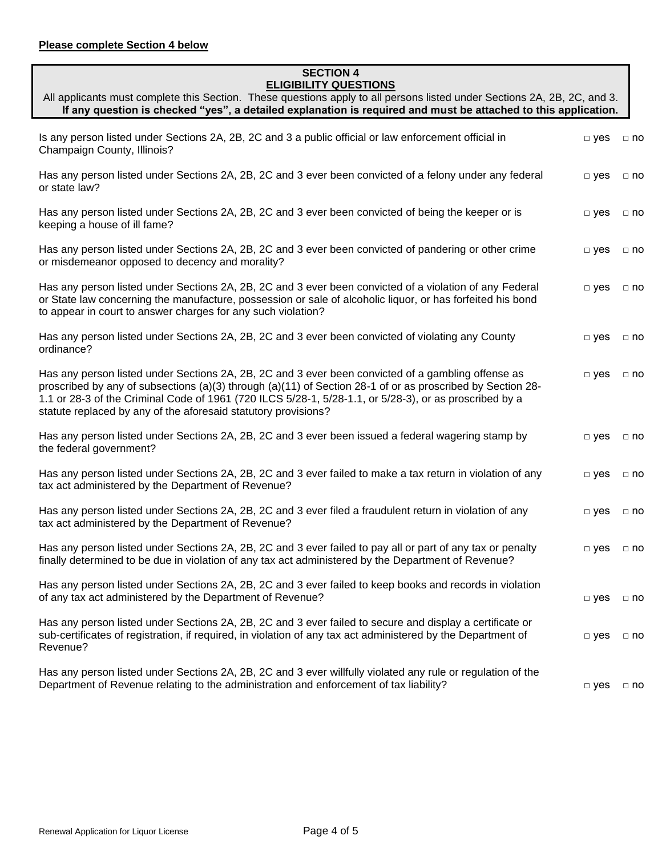#### **SECTION 4 ELIGIBILITY QUESTIONS**

| All applicants must complete this Section. These questions apply to all persons listed under Sections 2A, 2B, 2C, and 3. |
|--------------------------------------------------------------------------------------------------------------------------|
| If any question is checked "yes", a detailed explanation is required and must be attached to this application.           |

| Is any person listed under Sections 2A, 2B, 2C and 3 a public official or law enforcement official in<br>Champaign County, Illinois?                                                                                                                                                                                                                                                         | $\Box$ yes    | $\Box$ no    |
|----------------------------------------------------------------------------------------------------------------------------------------------------------------------------------------------------------------------------------------------------------------------------------------------------------------------------------------------------------------------------------------------|---------------|--------------|
| Has any person listed under Sections 2A, 2B, 2C and 3 ever been convicted of a felony under any federal<br>or state law?                                                                                                                                                                                                                                                                     | $\Box$ yes    | $\Box$ no    |
| Has any person listed under Sections 2A, 2B, 2C and 3 ever been convicted of being the keeper or is<br>keeping a house of ill fame?                                                                                                                                                                                                                                                          | $\square$ yes | $\Box$ no    |
| Has any person listed under Sections 2A, 2B, 2C and 3 ever been convicted of pandering or other crime<br>or misdemeanor opposed to decency and morality?                                                                                                                                                                                                                                     | $\Box$ yes    | $\Box$ no    |
| Has any person listed under Sections 2A, 2B, 2C and 3 ever been convicted of a violation of any Federal<br>or State law concerning the manufacture, possession or sale of alcoholic liquor, or has forfeited his bond<br>to appear in court to answer charges for any such violation?                                                                                                        | $\square$ yes | $\Box$ no    |
| Has any person listed under Sections 2A, 2B, 2C and 3 ever been convicted of violating any County<br>ordinance?                                                                                                                                                                                                                                                                              | $\Box$ yes    | $\Box$ no    |
| Has any person listed under Sections 2A, 2B, 2C and 3 ever been convicted of a gambling offense as<br>proscribed by any of subsections (a)(3) through (a)(11) of Section 28-1 of or as proscribed by Section 28-<br>1.1 or 28-3 of the Criminal Code of 1961 (720 ILCS 5/28-1, 5/28-1.1, or 5/28-3), or as proscribed by a<br>statute replaced by any of the aforesaid statutory provisions? | $\square$ yes | $\Box$ no    |
| Has any person listed under Sections 2A, 2B, 2C and 3 ever been issued a federal wagering stamp by<br>the federal government?                                                                                                                                                                                                                                                                | $\square$ yes | $\Box$ no    |
| Has any person listed under Sections 2A, 2B, 2C and 3 ever failed to make a tax return in violation of any<br>tax act administered by the Department of Revenue?                                                                                                                                                                                                                             | $\Box$ yes    | $\Box$ no    |
| Has any person listed under Sections 2A, 2B, 2C and 3 ever filed a fraudulent return in violation of any<br>tax act administered by the Department of Revenue?                                                                                                                                                                                                                               | $\Box$ yes    | $\Box$ no    |
| Has any person listed under Sections 2A, 2B, 2C and 3 ever failed to pay all or part of any tax or penalty<br>finally determined to be due in violation of any tax act administered by the Department of Revenue?                                                                                                                                                                            | $\Box$ yes    | $\Box$ no    |
| Has any person listed under Sections 2A, 2B, 2C and 3 ever failed to keep books and records in violation<br>of any tax act administered by the Department of Revenue?                                                                                                                                                                                                                        | $\Box$ yes    | $\Box$ no    |
| Has any person listed under Sections 2A, 2B, 2C and 3 ever failed to secure and display a certificate or<br>sub-certificates of registration, if required, in violation of any tax act administered by the Department of<br>Revenue?                                                                                                                                                         | $\Box$ yes    | $\Box$ no    |
| Has any person listed under Sections 2A, 2B, 2C and 3 ever willfully violated any rule or regulation of the<br>Department of Revenue relating to the administration and enforcement of tax liability?                                                                                                                                                                                        | $\Box$ yes    | $\square$ no |